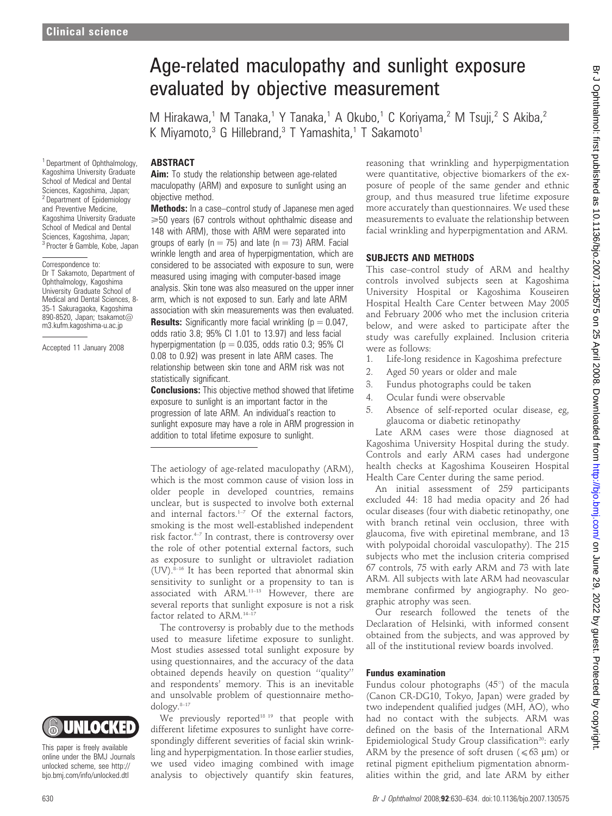<sup>1</sup> Department of Ophthalmology, Kagoshima University Graduate School of Medical and Dental Sciences, Kagoshima, Japan; <sup>2</sup> Department of Epidemiology and Preventive Medicine, Kagoshima University Graduate School of Medical and Dental Sciences, Kagoshima, Japan; <sup>3</sup> Procter & Gamble, Kobe, Japan

Correspondence to:

Dr T Sakamoto, Department of Ophthalmology, Kagoshima University Graduate School of Medical and Dental Sciences, 8- 35-1 Sakuragaoka, Kagoshima 890-8520, Japan; tsakamot@ m3.kufm.kagoshima-u.ac.jp

Accepted 11 January 2008

# Age-related maculopathy and sunlight exposure evaluated by objective measurement

M Hirakawa,<sup>1</sup> M Tanaka,<sup>1</sup> Y Tanaka,<sup>1</sup> A Okubo,<sup>1</sup> C Koriyama,<sup>2</sup> M Tsuji,<sup>2</sup> S Akiba,<sup>2</sup> K Mivamoto, $3$  G Hillebrand, $3$  T Yamashita, $1$  T Sakamoto $1$ 

## ABSTRACT

Aim: To study the relationship between age-related maculopathy (ARM) and exposure to sunlight using an objective method.

Methods: In a case–control study of Japanese men aged  $\geq 50$  years (67 controls without ophthalmic disease and 148 with ARM), those with ARM were separated into groups of early ( $n = 75$ ) and late ( $n = 73$ ) ARM. Facial wrinkle length and area of hyperpigmentation, which are considered to be associated with exposure to sun, were measured using imaging with computer-based image analysis. Skin tone was also measured on the upper inner arm, which is not exposed to sun. Early and late ARM association with skin measurements was then evaluated. **Results:** Significantly more facial wrinkling ( $p = 0.047$ , odds ratio 3.8; 95% CI 1.01 to 13.97) and less facial hyperpigmentation ( $p = 0.035$ , odds ratio 0.3; 95% CI 0.08 to 0.92) was present in late ARM cases. The relationship between skin tone and ARM risk was not statistically significant.

**Conclusions:** This objective method showed that lifetime exposure to sunlight is an important factor in the progression of late ARM. An individual's reaction to sunlight exposure may have a role in ARM progression in addition to total lifetime exposure to sunlight.

The aetiology of age-related maculopathy (ARM), which is the most common cause of vision loss in older people in developed countries, remains unclear, but is suspected to involve both external and internal factors. $1-7$  Of the external factors, smoking is the most well-established independent risk factor.<sup>4-7</sup> In contrast, there is controversy over the role of other potential external factors, such as exposure to sunlight or ultraviolet radiation  $(UV)$ .<sup>8–16</sup> It has been reported that abnormal skin sensitivity to sunlight or a propensity to tan is associated with ARM.11–13 However, there are several reports that sunlight exposure is not a risk factor related to ARM.<sup>14-1</sup>

The controversy is probably due to the methods used to measure lifetime exposure to sunlight. Most studies assessed total sunlight exposure by using questionnaires, and the accuracy of the data obtained depends heavily on question ''quality'' and respondents' memory. This is an inevitable and unsolvable problem of questionnaire methodology.<sup>8-17</sup>

We previously reported<sup>18 19</sup> that people with different lifetime exposures to sunlight have correspondingly different severities of facial skin wrinkling and hyperpigmentation. In those earlier studies, we used video imaging combined with image analysis to objectively quantify skin features,

reasoning that wrinkling and hyperpigmentation were quantitative, objective biomarkers of the exposure of people of the same gender and ethnic group, and thus measured true lifetime exposure more accurately than questionnaires. We used these measurements to evaluate the relationship between facial wrinkling and hyperpigmentation and ARM.

## SUBJECTS AND METHODS

This case–control study of ARM and healthy controls involved subjects seen at Kagoshima University Hospital or Kagoshima Kouseiren Hospital Health Care Center between May 2005 and February 2006 who met the inclusion criteria below, and were asked to participate after the study was carefully explained. Inclusion criteria were as follows:

- 1. Life-long residence in Kagoshima prefecture
- 2. Aged 50 years or older and male
- 3. Fundus photographs could be taken
- 4. Ocular fundi were observable
- 5. Absence of self-reported ocular disease, eg, glaucoma or diabetic retinopathy

Late ARM cases were those diagnosed at Kagoshima University Hospital during the study. Controls and early ARM cases had undergone health checks at Kagoshima Kouseiren Hospital Health Care Center during the same period.

An initial assessment of 259 participants excluded 44: 18 had media opacity and 26 had ocular diseases (four with diabetic retinopathy, one with branch retinal vein occlusion, three with glaucoma, five with epiretinal membrane, and 13 with polypoidal choroidal vasculopathy). The 215 subjects who met the inclusion criteria comprised 67 controls, 75 with early ARM and 73 with late ARM. All subjects with late ARM had neovascular membrane confirmed by angiography. No geographic atrophy was seen.

Our research followed the tenets of the Declaration of Helsinki, with informed consent obtained from the subjects, and was approved by all of the institutional review boards involved.

## Fundus examination

Fundus colour photographs  $(45^{\circ})$  of the macula (Canon CR-DG10, Tokyo, Japan) were graded by two independent qualified judges (MH, AO), who had no contact with the subjects. ARM was defined on the basis of the International ARM Epidemiological Study Group classification<sup>20</sup>: early ARM by the presence of soft drusen ( $\leq 63 \text{ }\mu\text{m}$ ) or retinal pigment epithelium pigmentation abnormalities within the grid, and late ARM by either



This paper is freely available online under the BMJ Journals unlocked scheme, see http:// bjo.bmj.com/info/unlocked.dtl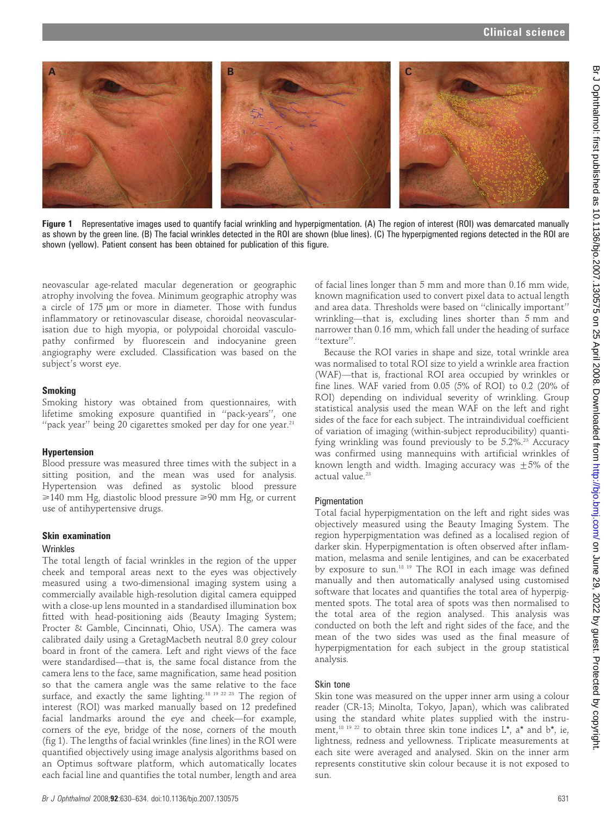

Figure 1 Representative images used to quantify facial wrinkling and hyperpigmentation. (A) The region of interest (ROI) was demarcated manually as shown by the green line. (B) The facial wrinkles detected in the ROI are shown (blue lines). (C) The hyperpigmented regions detected in the ROI are shown (yellow). Patient consent has been obtained for publication of this figure.

neovascular age-related macular degeneration or geographic atrophy involving the fovea. Minimum geographic atrophy was a circle of 175 µm or more in diameter. Those with fundus inflammatory or retinovascular disease, choroidal neovascularisation due to high myopia, or polypoidal choroidal vasculopathy confirmed by fluorescein and indocyanine green angiography were excluded. Classification was based on the subject's worst eye.

## Smoking

Smoking history was obtained from questionnaires, with lifetime smoking exposure quantified in ''pack-years'', one "pack year" being 20 cigarettes smoked per day for one year.<sup>21</sup>

## Hypertension

Blood pressure was measured three times with the subject in a sitting position, and the mean was used for analysis. Hypertension was defined as systolic blood pressure  $\geq 140$  mm Hg, diastolic blood pressure  $\geq 90$  mm Hg, or current use of antihypertensive drugs.

# Skin examination

## Wrinkles

The total length of facial wrinkles in the region of the upper cheek and temporal areas next to the eyes was objectively measured using a two-dimensional imaging system using a commercially available high-resolution digital camera equipped with a close-up lens mounted in a standardised illumination box fitted with head-positioning aids (Beauty Imaging System; Procter & Gamble, Cincinnati, Ohio, USA). The camera was calibrated daily using a GretagMacbeth neutral 8.0 grey colour board in front of the camera. Left and right views of the face were standardised—that is, the same focal distance from the camera lens to the face, same magnification, same head position so that the camera angle was the same relative to the face surface, and exactly the same lighting.<sup>18 19 22 23</sup> The region of interest (ROI) was marked manually based on 12 predefined facial landmarks around the eye and cheek—for example, corners of the eye, bridge of the nose, corners of the mouth (fig 1). The lengths of facial wrinkles (fine lines) in the ROI were quantified objectively using image analysis algorithms based on an Optimus software platform, which automatically locates each facial line and quantifies the total number, length and area

of facial lines longer than 5 mm and more than 0.16 mm wide, known magnification used to convert pixel data to actual length and area data. Thresholds were based on ''clinically important'' wrinkling—that is, excluding lines shorter than 5 mm and narrower than 0.16 mm, which fall under the heading of surface "texture".

Because the ROI varies in shape and size, total wrinkle area was normalised to total ROI size to yield a wrinkle area fraction (WAF)—that is, fractional ROI area occupied by wrinkles or fine lines. WAF varied from 0.05 (5% of ROI) to 0.2 (20% of ROI) depending on individual severity of wrinkling. Group statistical analysis used the mean WAF on the left and right sides of the face for each subject. The intraindividual coefficient of variation of imaging (within-subject reproducibility) quantifying wrinkling was found previously to be  $5.2\%$ .<sup>23</sup> Accuracy was confirmed using mannequins with artificial wrinkles of known length and width. Imaging accuracy was  $+5%$  of the actual value.<sup>23</sup>

# **Pigmentation**

Total facial hyperpigmentation on the left and right sides was objectively measured using the Beauty Imaging System. The region hyperpigmentation was defined as a localised region of darker skin. Hyperpigmentation is often observed after inflammation, melasma and senile lentigines, and can be exacerbated by exposure to sun.<sup>18 19</sup> The ROI in each image was defined manually and then automatically analysed using customised software that locates and quantifies the total area of hyperpigmented spots. The total area of spots was then normalised to the total area of the region analysed. This analysis was conducted on both the left and right sides of the face, and the mean of the two sides was used as the final measure of hyperpigmentation for each subject in the group statistical analysis.

# Skin tone

Skin tone was measured on the upper inner arm using a colour reader (CR-13; Minolta, Tokyo, Japan), which was calibrated using the standard white plates supplied with the instrument,<sup>18 19 22</sup> to obtain three skin tone indices  $L^*$ , a<sup>\*</sup> and  $b^*$ , ie, lightness, redness and yellowness. Triplicate measurements at each site were averaged and analysed. Skin on the inner arm represents constitutive skin colour because it is not exposed to sun.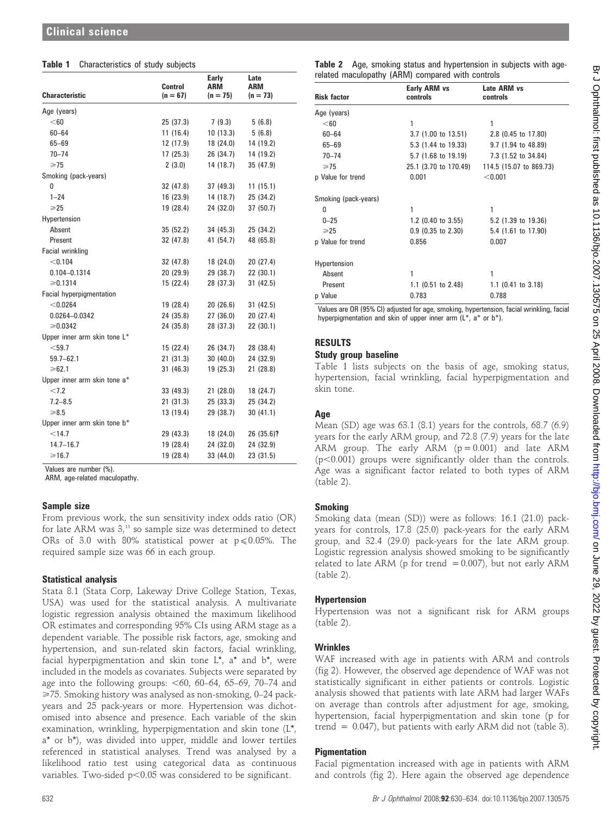## Table 1 Characteristics of study subjects

|                              |                       | <b>Early</b>      | Late                     |  |
|------------------------------|-----------------------|-------------------|--------------------------|--|
| Characteristic               | Control<br>$(n = 67)$ | ARM<br>$(n = 75)$ | <b>ARM</b><br>$(n = 73)$ |  |
| Age (years)                  |                       |                   |                          |  |
| < 60                         | 25 (37.3)             | 7(9.3)            | 5(6.8)                   |  |
| $60 - 64$                    | 11(16.4)              | 10(13.3)          | 5(6.8)                   |  |
| $65 - 69$                    | 12 (17.9)             | 18 (24.0)         | 14 (19.2)                |  |
| $70 - 74$                    | 17(25.3)              | 26 (34.7)         | 14 (19.2)                |  |
| $\geq 75$                    | 2(3.0)                | 14 (18.7)         | 35 (47.9)                |  |
| Smoking (pack-years)         |                       |                   |                          |  |
| 0                            | 32 (47.8)             | 37 (49.3)         | 11(15.1)                 |  |
| $1 - 24$                     | 16(23.9)              | 14 (18.7)         | 25 (34.2)                |  |
| $\geq 25$                    | 19 (28.4)             | 24 (32.0)         | 37 (50.7)                |  |
| Hypertension                 |                       |                   |                          |  |
| Absent                       | 35(52.2)              | 34 (45.3)         | 25 (34.2)                |  |
| Present                      | 32 (47.8)             | 41 (54.7)         | 48 (65.8)                |  |
| Facial wrinkling             |                       |                   |                          |  |
| < 0.104                      | 32 (47.8)             | 18 (24.0)         | 20 (27.4)                |  |
| 0.104-0.1314                 | 20(29.9)              | 29 (38.7)         | 22 (30.1)                |  |
| $\ge 0.1314$                 | 15 (22.4)             | 28 (37.3)         | 31(42.5)                 |  |
| Facial hyperpigmentation     |                       |                   |                          |  |
| < 0.0264                     | 19 (28.4)             | 20 (26.6)         | 31 (42.5)                |  |
| 0.0264-0.0342                | 24 (35.8)             | 27 (36.0)         | 20(27.4)                 |  |
| ≥0.0342                      | 24 (35.8)             | 28 (37.3)         | 22(30.1)                 |  |
| Upper inner arm skin tone L* |                       |                   |                          |  |
| $<$ 59.7                     | 15 (22.4)             | 26 (34.7)         | 28 (38.4)                |  |
| $59.7 - 62.1$                | 21(31.3)              | 30(40.0)          | 24 (32.9)                |  |
| $\geq 62.1$                  | 31(46.3)              | 19 (25.3)         | 21 (28.8)                |  |
| Upper inner arm skin tone a* |                       |                   |                          |  |
| < 7.2                        | 33 (49.3)             | 21(28.0)          | 18 (24.7)                |  |
| $7.2 - 8.5$                  | 21(31.3)              | 25 (33.3)         | 25 (34.2)                |  |
| $\ge 8.5$                    | 13 (19.4)             | 29 (38.7)         | 30(41.1)                 |  |
| Upper inner arm skin tone b* |                       |                   |                          |  |
| $<$ 14.7                     | 29 (43.3)             | 18 (24.0)         | 26 (35.6)?               |  |
| $14.7 - 16.7$                | 19 (28.4)             | 24 (32.0)         | 24 (32.9)                |  |
| $\geq 16.7$                  | 19 (28.4)             | 33 (44.0)         | 23(31.5)                 |  |

Values are number (%).

ARM, age-related maculopathy.

## Sample size

From previous work, the sun sensitivity index odds ratio (OR) for late ARM was  $3<sub>13</sub>$  so sample size was determined to detect ORs of 3.0 with 80% statistical power at  $p \le 0.05\%$ . The required sample size was 66 in each group.

## Statistical analysis

Stata 8.1 (Stata Corp, Lakeway Drive College Station, Texas, USA) was used for the statistical analysis. A multivariate logistic regression analysis obtained the maximum likelihood OR estimates and corresponding 95% CIs using ARM stage as a dependent variable. The possible risk factors, age, smoking and hypertension, and sun-related skin factors, facial wrinkling, facial hyperpigmentation and skin tone L\*, a\* and b\*, were included in the models as covariates. Subjects were separated by age into the following groups:  $<$  60, 60–64, 65–69, 70–74 and >75. Smoking history was analysed as non-smoking, 0–24 packyears and 25 pack-years or more. Hypertension was dichotomised into absence and presence. Each variable of the skin examination, wrinkling, hyperpigmentation and skin tone (L\*, a\* or b\*), was divided into upper, middle and lower tertiles referenced in statistical analyses. Trend was analysed by a likelihood ratio test using categorical data as continuous variables. Two-sided  $p<0.05$  was considered to be significant.

Table 2 Age, smoking status and hypertension in subjects with agerelated maculopathy (ARM) compared with controls

| <b>Risk factor</b>   | Early ARM vs<br>controls | Late ARM vs<br>controls |
|----------------------|--------------------------|-------------------------|
| Age (years)          |                          |                         |
| $<$ 60               | 1                        | 1                       |
| $60 - 64$            | 3.7 (1.00 to 13.51)      | 2.8 (0.45 to 17.80)     |
| $65 - 69$            | 5.3 (1.44 to 19.33)      | $9.7$ (1.94 to 48.89)   |
| $70 - 74$            | 5.7 (1.68 to 19.19)      | 7.3 (1.52 to 34.84)     |
| ≥75                  | 25.1 (3.70 to 170.49)    | 114.5 (15.07 to 869.73) |
| p Value for trend    | 0.001                    | < 0.001                 |
| Smoking (pack-years) |                          |                         |
| <sup>0</sup>         | 1                        | 1                       |
| $0 - 25$             | 1.2 (0.40 to 3.55)       | 5.2 (1.39 to 19.36)     |
| $\geqslant$ 25       | $0.9$ (0.35 to 2.30)     | 5.4 (1.61 to 17.90)     |
| p Value for trend    | 0.856                    | 0.007                   |
| Hypertension         |                          |                         |
| Absent               | 1                        | 1                       |
| Present              | 1.1 (0.51 to 2.48)       | 1.1 $(0.41$ to 3.18)    |
| p Value              | 0.783                    | 0.788                   |

Values are OR (95% CI) adjusted for age, smoking, hypertension, facial wrinkling, facial hyperpigmentation and skin of upper inner arm (L<sup>\*</sup>, a<sup>\*</sup> or b<sup>\*</sup>).

# RESULTS

## Study group baseline

Table 1 lists subjects on the basis of age, smoking status, hypertension, facial wrinkling, facial hyperpigmentation and skin tone.

# Age

Mean (SD) age was 63.1 (8.1) years for the controls, 68.7 (6.9) years for the early ARM group, and 72.8 (7.9) years for the late ARM group. The early ARM  $(p = 0.001)$  and late ARM  $(p<0.001)$  groups were significantly older than the controls. Age was a significant factor related to both types of ARM (table 2).

# Smoking

Smoking data (mean (SD)) were as follows: 16.1 (21.0) packyears for controls, 17.8 (25.0) pack-years for the early ARM group, and 32.4 (29.0) pack-years for the late ARM group. Logistic regression analysis showed smoking to be significantly related to late ARM (p for trend  $= 0.007$ ), but not early ARM (table 2).

# Hypertension

Hypertension was not a significant risk for ARM groups (table 2).

# Wrinkles

WAF increased with age in patients with ARM and controls (fig 2). However, the observed age dependence of WAF was not statistically significant in either patients or controls. Logistic analysis showed that patients with late ARM had larger WAFs on average than controls after adjustment for age, smoking, hypertension, facial hyperpigmentation and skin tone (p for trend =  $0.047$ ), but patients with early ARM did not (table 3).

# **Pigmentation**

Facial pigmentation increased with age in patients with ARM and controls (fig 2). Here again the observed age dependence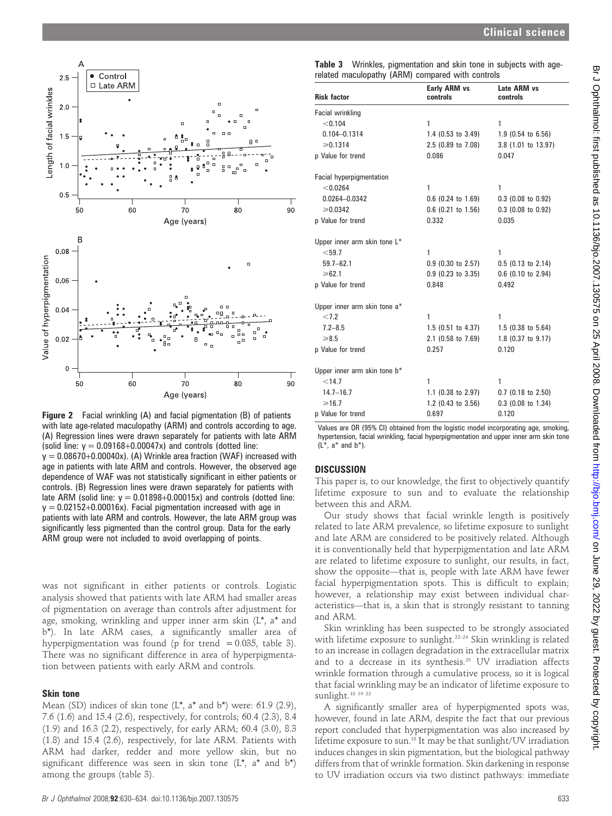

Figure 2 Facial wrinkling (A) and facial pigmentation (B) of patients with late age-related maculopathy (ARM) and controls according to age. (A) Regression lines were drawn separately for patients with late ARM (solid line:  $y = 0.09168 + 0.00047x$ ) and controls (dotted line:  $y = 0.08670+0.00040x$ . (A) Wrinkle area fraction (WAF) increased with age in patients with late ARM and controls. However, the observed age dependence of WAF was not statistically significant in either patients or controls. (B) Regression lines were drawn separately for patients with late ARM (solid line:  $y = 0.01898 + 0.00015x$ ) and controls (dotted line:  $y = 0.02152+0.00016x$ . Facial pigmentation increased with age in patients with late ARM and controls. However, the late ARM group was significantly less pigmented than the control group. Data for the early ARM group were not included to avoid overlapping of points.

was not significant in either patients or controls. Logistic analysis showed that patients with late ARM had smaller areas of pigmentation on average than controls after adjustment for age, smoking, wrinkling and upper inner arm skin (L\*, a\* and b\*). In late ARM cases, a significantly smaller area of hyperpigmentation was found (p for trend  $= 0.035$ , table 3). There was no significant difference in area of hyperpigmentation between patients with early ARM and controls.

### Skin tone

Mean (SD) indices of skin tone (L\*, a\* and b\*) were: 61.9 (2.9), 7.6 (1.6) and 15.4 (2.6), respectively, for controls; 60.4 (2.3), 8.4 (1.9) and 16.3 (2.2), respectively, for early ARM; 60.4 (3.0), 8.3 (1.8) and 15.4 (2.6), respectively, for late ARM. Patients with ARM had darker, redder and more yellow skin, but no significant difference was seen in skin tone (L\*, a\* and b\*) among the groups (table 3).

|  | Table 3 Wrinkles, pigmentation and skin tone in subjects with age- |  |  |  |
|--|--------------------------------------------------------------------|--|--|--|
|  | related maculopathy (ARM) compared with controls                   |  |  |  |

| <b>Risk factor</b>              | Early ARM vs<br>controls      | Late ARM vs<br>controls |
|---------------------------------|-------------------------------|-------------------------|
| Facial wrinkling                |                               |                         |
| < 0.104                         | 1                             | 1                       |
| $0.104 - 0.1314$                | 1.4 $(0.53 \text{ to } 3.49)$ | $1.9$ (0.54 to 6.56)    |
| $\ge 0.1314$                    | 2.5 (0.89 to 7.08)            | 3.8 (1.01 to 13.97)     |
| p Value for trend               | 0.086                         | 0.047                   |
| <b>Facial hyperpigmentation</b> |                               |                         |
| < 0.0264                        | 1                             | 1                       |
| 0.0264-0.0342                   | $0.6$ (0.24 to 1.69)          | $0.3$ (0.08 to 0.92)    |
| $\ge 0.0342$                    | $0.6$ (0.21 to 1.56)          | $0.3$ (0.08 to 0.92)    |
| p Value for trend               | 0.332                         | 0.035                   |
| Upper inner arm skin tone L*    |                               |                         |
| < 59.7                          | 1                             | 1                       |
| $59.7 - 62.1$                   | $0.9$ (0.30 to 2.57)          | $0.5$ (0.13 to 2.14)    |
| ≥62.1                           | $0.9$ (0.23 to 3.35)          | $0.6$ (0.10 to 2.94)    |
| p Value for trend               | 0.848                         | 0.492                   |
| Upper inner arm skin tone a*    |                               |                         |
| < 7.2                           | 1                             | 1                       |
| $7.2 - 8.5$                     | $1.5$ (0.51 to 4.37)          | $1.5$ (0.38 to 5.64)    |
| $\ge 8.5$                       | 2.1 (0.58 to 7.69)            | 1.8 (0.37 to 9.17)      |
| p Value for trend               | 0.257                         | 0.120                   |
| Upper inner arm skin tone b*    |                               |                         |
| < 14.7                          | 1                             | 1                       |
| $14.7 - 16.7$                   | 1.1 $(0.38 \text{ to } 2.97)$ | $0.7$ (0.18 to 2.50)    |
| >16.7                           | 1.2 $(0.43 \text{ to } 3.56)$ | $0.3$ (0.08 to 1.34)    |
| p Value for trend               | 0.697                         | 0.120                   |

Values are OR (95% CI) obtained from the logistic model incorporating age, smoking, hypertension, facial wrinkling, facial hyperpigmentation and upper inner arm skin tone  $(L^*, a^*$  and  $b^*)$ .

# **DISCUSSION**

This paper is, to our knowledge, the first to objectively quantify lifetime exposure to sun and to evaluate the relationship between this and ARM.

Our study shows that facial wrinkle length is positively related to late ARM prevalence, so lifetime exposure to sunlight and late ARM are considered to be positively related. Although it is conventionally held that hyperpigmentation and late ARM are related to lifetime exposure to sunlight, our results, in fact, show the opposite—that is, people with late ARM have fewer facial hyperpigmentation spots. This is difficult to explain; however, a relationship may exist between individual characteristics—that is, a skin that is strongly resistant to tanning and ARM.

Skin wrinkling has been suspected to be strongly associated with lifetime exposure to sunlight.<sup>22–24</sup> Skin wrinkling is related to an increase in collagen degradation in the extracellular matrix and to a decrease in its synthesis.<sup>25</sup> UV irradiation affects wrinkle formation through a cumulative process, so it is logical that facial wrinkling may be an indicator of lifetime exposure to sunlight.<sup>18 19 22</sup>

A significantly smaller area of hyperpigmented spots was, however, found in late ARM, despite the fact that our previous report concluded that hyperpigmentation was also increased by lifetime exposure to sun.18 It may be that sunlight/UV irradiation induces changes in skin pigmentation, but the biological pathway differs from that of wrinkle formation. Skin darkening in response to UV irradiation occurs via two distinct pathways: immediate